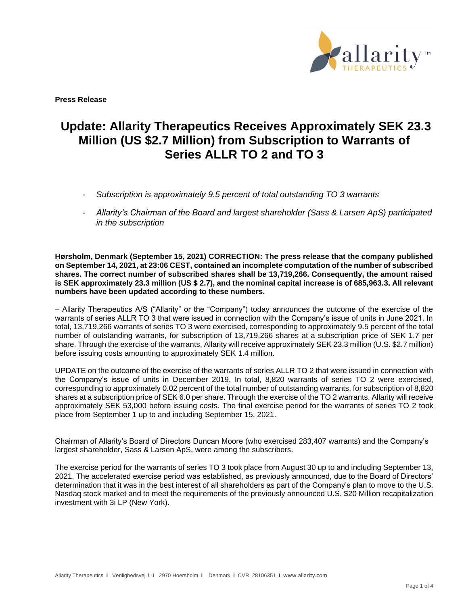

**Press Release**

# **Update: Allarity Therapeutics Receives Approximately SEK 23.3 Million (US \$2.7 Million) from Subscription to Warrants of Series ALLR TO 2 and TO 3**

- *Subscription is approximately 9.5 percent of total outstanding TO 3 warrants*
- *Allarity's Chairman of the Board and largest shareholder (Sass & Larsen ApS) participated in the subscription*

**Hørsholm, Denmark (September 15, 2021) CORRECTION: The press release that the company published on September 14, 2021, at 23:06 CEST, contained an incomplete computation of the number of subscribed shares. The correct number of subscribed shares shall be 13,719,266. Consequently, the amount raised is SEK approximately 23.3 million (US \$ 2.7), and the nominal capital increase is of 685,963.3. All relevant numbers have been updated according to these numbers.**

– Allarity Therapeutics A/S ("Allarity" or the "Company") today announces the outcome of the exercise of the warrants of series ALLR TO 3 that were issued in connection with the Company's issue of units in June 2021. In total, 13,719,266 warrants of series TO 3 were exercised, corresponding to approximately 9.5 percent of the total number of outstanding warrants, for subscription of 13,719,266 shares at a subscription price of SEK 1.7 per share. Through the exercise of the warrants, Allarity will receive approximately SEK 23.3 million (U.S. \$2.7 million) before issuing costs amounting to approximately SEK 1.4 million.

UPDATE on the outcome of the exercise of the warrants of series ALLR TO 2 that were issued in connection with the Company's issue of units in December 2019. In total, 8,820 warrants of series TO 2 were exercised, corresponding to approximately 0.02 percent of the total number of outstanding warrants, for subscription of 8,820 shares at a subscription price of SEK 6.0 per share. Through the exercise of the TO 2 warrants, Allarity will receive approximately SEK 53,000 before issuing costs. The final exercise period for the warrants of series TO 2 took place from September 1 up to and including September 15, 2021.

Chairman of Allarity's Board of Directors Duncan Moore (who exercised 283,407 warrants) and the Company's largest shareholder, Sass & Larsen ApS, were among the subscribers.

The exercise period for the warrants of series TO 3 took place from August 30 up to and including September 13, 2021. The accelerated exercise period was established, as previously announced, due to the Board of Directors' determination that it was in the best interest of all shareholders as part of the Company's plan to move to the U.S. Nasdaq stock market and to meet the requirements of the previously announced U.S. \$20 Million recapitalization investment with 3i LP (New York).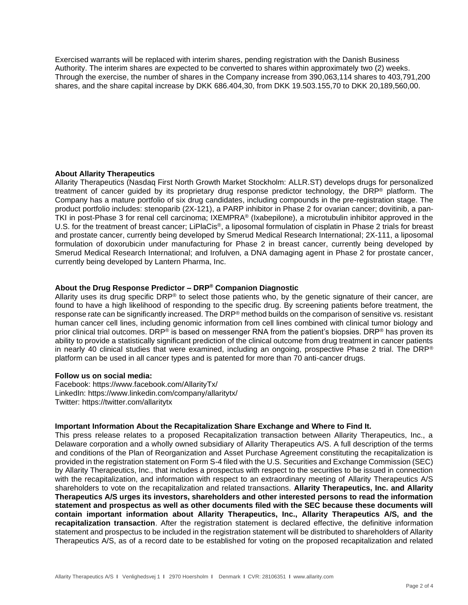Exercised warrants will be replaced with interim shares, pending registration with the Danish Business Authority. The interim shares are expected to be converted to shares within approximately two (2) weeks. Through the exercise, the number of shares in the Company increase from 390,063,114 shares to 403,791,200 shares, and the share capital increase by DKK 686.404,30, from DKK 19.503.155,70 to DKK 20,189,560,00.

# **About Allarity Therapeutics**

Allarity Therapeutics (Nasdaq First North Growth Market Stockholm: ALLR.ST) develops drugs for personalized treatment of cancer guided by its proprietary drug response predictor technology, the DRP® platform. The Company has a mature portfolio of six drug candidates, including compounds in the pre-registration stage. The product portfolio includes: stenoparib (2X-121), a PARP inhibitor in Phase 2 for ovarian cancer; dovitinib, a pan-TKI in post-Phase 3 for renal cell carcinoma; IXEMPRA® (Ixabepilone), a microtubulin inhibitor approved in the U.S. for the treatment of breast cancer; LiPlaCis®, a liposomal formulation of cisplatin in Phase 2 trials for breast and prostate cancer, currently being developed by Smerud Medical Research International; 2X-111, a liposomal formulation of doxorubicin under manufacturing for Phase 2 in breast cancer, currently being developed by Smerud Medical Research International; and Irofulven, a DNA damaging agent in Phase 2 for prostate cancer, currently being developed by Lantern Pharma, Inc.

# **About the Drug Response Predictor – DRP® Companion Diagnostic**

Allarity uses its drug specific DRP® to select those patients who, by the genetic signature of their cancer, are found to have a high likelihood of responding to the specific drug. By screening patients before treatment, the response rate can be significantly increased. The DRP® method builds on the comparison of sensitive vs. resistant human cancer cell lines, including genomic information from cell lines combined with clinical tumor biology and prior clinical trial outcomes. DRP® is based on messenger RNA from the patient's biopsies. DRP® has proven its ability to provide a statistically significant prediction of the clinical outcome from drug treatment in cancer patients in nearly 40 clinical studies that were examined, including an ongoing, prospective Phase 2 trial. The DRP® platform can be used in all cancer types and is patented for more than 70 anti-cancer drugs.

#### **Follow us on social media:**

Facebook: https://www.facebook.com/AllarityTx/ LinkedIn: https://www.linkedin.com/company/allaritytx/ Twitter: https://twitter.com/allaritytx

#### **Important Information About the Recapitalization Share Exchange and Where to Find It.**

This press release relates to a proposed Recapitalization transaction between Allarity Therapeutics, Inc., a Delaware corporation and a wholly owned subsidiary of Allarity Therapeutics A/S. A full description of the terms and conditions of the Plan of Reorganization and Asset Purchase Agreement constituting the recapitalization is provided in the registration statement on Form S-4 filed with the U.S. Securities and Exchange Commission (SEC) by Allarity Therapeutics, Inc., that includes a prospectus with respect to the securities to be issued in connection with the recapitalization, and information with respect to an extraordinary meeting of Allarity Therapeutics A/S shareholders to vote on the recapitalization and related transactions. **Allarity Therapeutics, Inc. and Allarity Therapeutics A/S urges its investors, shareholders and other interested persons to read the information statement and prospectus as well as other documents filed with the SEC because these documents will contain important information about Allarity Therapeutics, Inc., Allarity Therapeutics A/S, and the recapitalization transaction**. After the registration statement is declared effective, the definitive information statement and prospectus to be included in the registration statement will be distributed to shareholders of Allarity Therapeutics A/S, as of a record date to be established for voting on the proposed recapitalization and related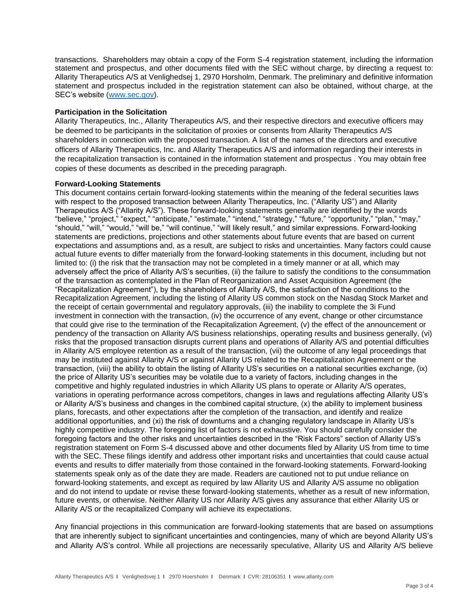transactions. Shareholders may obtain a copy of the Form S-4 registration statement, including the information statement and prospectus, and other documents filed with the SEC without charge, by directing a request to: Allarity Therapeutics A/S at Venlighedsej 1, 2970 Horsholm, Denmark. The preliminary and definitive information statement and prospectus included in the registration statement can also be obtained, without charge, at the SEC's website [\(www.sec.gov\)](http://www.sec.gov/).

## **Participation in the Solicitation**

Allarity Therapeutics, Inc., Allarity Therapeutics A/S, and their respective directors and executive officers may be deemed to be participants in the solicitation of proxies or consents from Allarity Therapeutics A/S shareholders in connection with the proposed transaction. A list of the names of the directors and executive officers of Allarity Therapeutics, Inc. and Allarity Therapeutics A/S and information regarding their interests in the recapitalization transaction is contained in the information statement and prospectus . You may obtain free copies of these documents as described in the preceding paragraph.

#### **Forward-Looking Statements**

This document contains certain forward-looking statements within the meaning of the federal securities laws with respect to the proposed transaction between Allarity Therapeutics, Inc. ("Allarity US") and Allarity Therapeutics A/S ("Allarity A/S"). These forward-looking statements generally are identified by the words "believe," "project," "expect," "anticipate," "estimate," "intend," "strategy," "future," "opportunity," "plan," "may," "should," "will," "would," "will be," "will continue," "will likely result," and similar expressions. Forward-looking statements are predictions, projections and other statements about future events that are based on current expectations and assumptions and, as a result, are subject to risks and uncertainties. Many factors could cause actual future events to differ materially from the forward-looking statements in this document, including but not limited to: (i) the risk that the transaction may not be completed in a timely manner or at all, which may adversely affect the price of Allarity A/S's securities, (ii) the failure to satisfy the conditions to the consummation of the transaction as contemplated in the Plan of Reorganization and Asset Acquisition Agreement (the "Recapitalization Agreement"), by the shareholders of Allarity A/S, the satisfaction of the conditions to the Recapitalization Agreement, including the listing of Allarity US common stock on the Nasdaq Stock Market and the receipt of certain governmental and regulatory approvals, (iii) the inability to complete the 3i Fund investment in connection with the transaction, (iv) the occurrence of any event, change or other circumstance that could give rise to the termination of the Recapitalization Agreement, (v) the effect of the announcement or pendency of the transaction on Allarity A/S business relationships, operating results and business generally, (vi) risks that the proposed transaction disrupts current plans and operations of Allarity A/S and potential difficulties in Allarity A/S employee retention as a result of the transaction, (vii) the outcome of any legal proceedings that may be instituted against Allarity A/S or against Allarity US related to the Recapitalization Agreement or the transaction, (viii) the ability to obtain the listing of Allarity US's securities on a national securities exchange, (ix) the price of Allarity US's securities may be volatile due to a variety of factors, including changes in the competitive and highly regulated industries in which Allarity US plans to operate or Allarity A/S operates, variations in operating performance across competitors, changes in laws and regulations affecting Allarity US's or Allarity A/S's business and changes in the combined capital structure, (x) the ability to implement business plans, forecasts, and other expectations after the completion of the transaction, and identify and realize additional opportunities, and (xi) the risk of downturns and a changing regulatory landscape in Allarity US's highly competitive industry. The foregoing list of factors is not exhaustive. You should carefully consider the foregoing factors and the other risks and uncertainties described in the "Risk Factors" section of Allarity US's registration statement on Form S-4 discussed above and other documents filed by Allarity US from time to time with the SEC. These filings identify and address other important risks and uncertainties that could cause actual events and results to differ materially from those contained in the forward-looking statements. Forward-looking statements speak only as of the date they are made. Readers are cautioned not to put undue reliance on forward-looking statements, and except as required by law Allarity US and Allarity A/S assume no obligation and do not intend to update or revise these forward-looking statements, whether as a result of new information, future events, or otherwise. Neither Allarity US nor Allarity A/S gives any assurance that either Allarity US or Allarity A/S or the recapitalized Company will achieve its expectations.

Any financial projections in this communication are forward-looking statements that are based on assumptions that are inherently subject to significant uncertainties and contingencies, many of which are beyond Allarity US's and Allarity A/S's control. While all projections are necessarily speculative, Allarity US and Allarity A/S believe